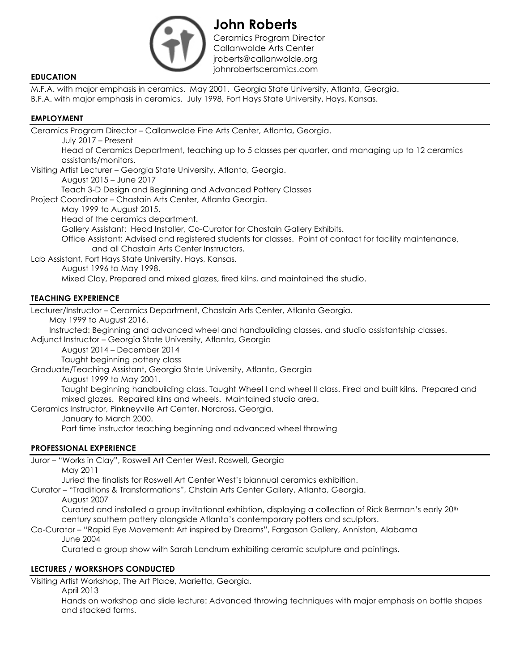

**John Roberts** Ceramics Program Director Callanwolde Arts Center jroberts@callanwolde.org johnrobertsceramics.com **EDUCATION**

M.F.A. with major emphasis in ceramics. May 2001. Georgia State University, Atlanta, Georgia. B.F.A. with major emphasis in ceramics. July 1998, Fort Hays State University, Hays, Kansas.

### **EMPLOYMENT**

Ceramics Program Director – Callanwolde Fine Arts Center, Atlanta, Georgia.

July 2017 – Present

Head of Ceramics Department, teaching up to 5 classes per quarter, and managing up to 12 ceramics assistants/monitors.

Visiting Artist Lecturer – Georgia State University, Atlanta, Georgia.

August 2015 – June 2017

Teach 3-D Design and Beginning and Advanced Pottery Classes

Project Coordinator – Chastain Arts Center, Atlanta Georgia.

May 1999 to August 2015.

Head of the ceramics department.

Gallery Assistant: Head Installer, Co-Curator for Chastain Gallery Exhibits.

Office Assistant: Advised and registered students for classes. Point of contact for facility maintenance, and all Chastain Arts Center Instructors.

Lab Assistant, Fort Hays State University, Hays, Kansas.

August 1996 to May 1998.

Mixed Clay, Prepared and mixed glazes, fired kilns, and maintained the studio.

# **TEACHING EXPERIENCE**

Lecturer/Instructor – Ceramics Department, Chastain Arts Center, Atlanta Georgia.

May 1999 to August 2016.

Instructed: Beginning and advanced wheel and handbuilding classes, and studio assistantship classes.

Adjunct Instructor – Georgia State University, Atlanta, Georgia

August 2014 – December 2014

Taught beginning pottery class

Graduate/Teaching Assistant, Georgia State University, Atlanta, Georgia

August 1999 to May 2001.

Taught beginning handbuilding class. Taught Wheel I and wheel II class. Fired and built kilns. Prepared and mixed glazes. Repaired kilns and wheels. Maintained studio area.

Ceramics Instructor, Pinkneyville Art Center, Norcross, Georgia.

January to March 2000.

Part time instructor teaching beginning and advanced wheel throwing

### **PROFESSIONAL EXPERIENCE**

Juror – "Works in Clay", Roswell Art Center West, Roswell, Georgia

May 2011

Juried the finalists for Roswell Art Center West's biannual ceramics exhibition.

Curator – "Traditions & Transformations", Chstain Arts Center Gallery, Atlanta, Georgia.

August 2007

Curated and installed a group invitational exhibtion, displaying a collection of Rick Berman's early 20th century southern pottery alongside Atlanta's contemporary potters and sculptors.

Co-Curator – "Rapid Eye Movement: Art inspired by Dreams", Fargason Gallery, Anniston, Alabama June 2004

Curated a group show with Sarah Landrum exhibiting ceramic sculpture and paintings.

### **LECTURES / WORKSHOPS CONDUCTED**

Visiting Artist Workshop, The Art Place, Marietta, Georgia.

April 2013

Hands on workshop and slide lecture: Advanced throwing techniques with major emphasis on bottle shapes and stacked forms.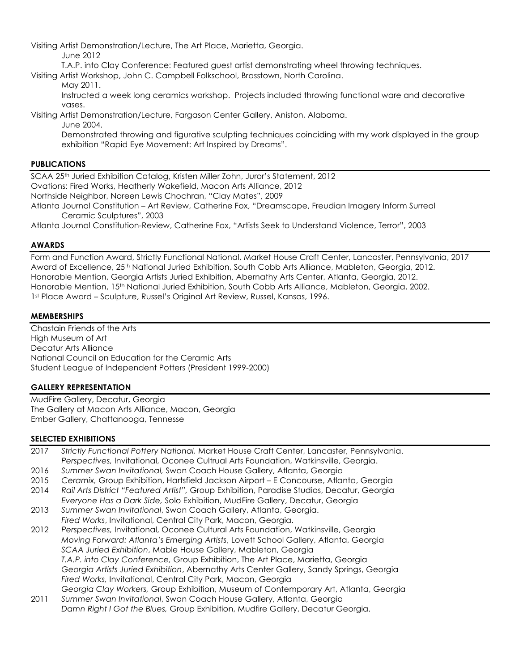Visiting Artist Demonstration/Lecture, The Art Place, Marietta, Georgia.

June 2012

T.A.P. into Clay Conference: Featured guest artist demonstrating wheel throwing techniques.

Visiting Artist Workshop, John C. Campbell Folkschool, Brasstown, North Carolina.

May 2011.

Instructed a week long ceramics workshop. Projects included throwing functional ware and decorative vases.

Visiting Artist Demonstration/Lecture, Fargason Center Gallery, Aniston, Alabama.

June 2004.

Demonstrated throwing and figurative sculpting techniques coinciding with my work displayed in the group exhibition "Rapid Eye Movement: Art Inspired by Dreams".

### **PUBLICATIONS**

SCAA 25th Juried Exhibition Catalog, Kristen Miller Zohn, Juror's Statement, 2012 Ovations: Fired Works, Heatherly Wakefield, Macon Arts Alliance, 2012 Northside Neighbor, Noreen Lewis Chochran, "Clay Mates", 2009 Atlanta Journal Constitution – Art Review, Catherine Fox, "Dreamscape, Freudian Imagery Inform Surreal Ceramic Sculptures", 2003

Atlanta Journal Constitution-Review, Catherine Fox, "Artists Seek to Understand Violence, Terror", 2003

# **AWARDS**

Form and Function Award, Strictly Functional National, Market House Craft Center, Lancaster, Pennsylvania, 2017 Award of Excellence, 25<sup>th</sup> National Juried Exhibition, South Cobb Arts Alliance, Mableton, Georgia, 2012. Honorable Mention, Georgia Artists Juried Exhibition, Abernathy Arts Center, Atlanta, Georgia, 2012. Honorable Mention, 15th National Juried Exhibition, South Cobb Arts Alliance, Mableton, Georgia, 2002. 1st Place Award – Sculpture, Russel's Original Art Review, Russel, Kansas, 1996.

## **MEMBERSHIPS**

Chastain Friends of the Arts High Museum of Art Decatur Arts Alliance National Council on Education for the Ceramic Arts Student League of Independent Potters (President 1999-2000)

### **GALLERY REPRESENTATION**

MudFire Gallery, Decatur, Georgia The Gallery at Macon Arts Alliance, Macon, Georgia Ember Gallery, Chattanooga, Tennesse

### **SELECTED EXHIBITIONS**

- 2017 *Strictly Functional Pottery National,* Market House Craft Center, Lancaster, Pennsylvania. *Perspectives,* Invitational, Oconee Cultrual Arts Foundation, Watkinsville, Georgia.
- 2016 *Summer Swan Invitational,* Swan Coach House Gallery, Atlanta, Georgia
- 2015 *Ceramix,* Group Exhibition, Hartsfield Jackson Airport E Concourse, Atlanta, Georgia
- 2014 *Rail Arts District "Featured Artist",* Group Exhibition, Paradise Studios, Decatur, Georgia *Everyone Has a Dark Side,* Solo Exhibition, MudFire Gallery, Decatur, Georgia
- 2013 *Summer Swan Invitational*, Swan Coach Gallery, Atlanta, Georgia. *Fired Works*, Invitational, Central City Park, Macon, Georgia.
- 2012 *Perspectives,* Invitational, Oconee Cultural Arts Foundation, Watkinsville, Georgia *Moving Forward: Atlanta's Emerging Artists*, Lovett School Gallery, Atlanta, Georgia *SCAA Juried Exhibition*, Mable House Gallery, Mableton, Georgia *T.A.P. into Clay Conference,* Group Exhibition, The Art Place, Marietta, Georgia *Georgia Artists Juried Exhibition*, Abernathy Arts Center Gallery, Sandy Springs, Georgia *Fired Works,* Invitational, Central City Park, Macon, Georgia *Georgia Clay Workers,* Group Exhibition, Museum of Contemporary Art, Atlanta, Georgia
- 2011 *Summer Swan Invitational*, Swan Coach House Gallery, Atlanta, Georgia *Damn Right I Got the Blues,* Group Exhibition, Mudfire Gallery, Decatur Georgia.